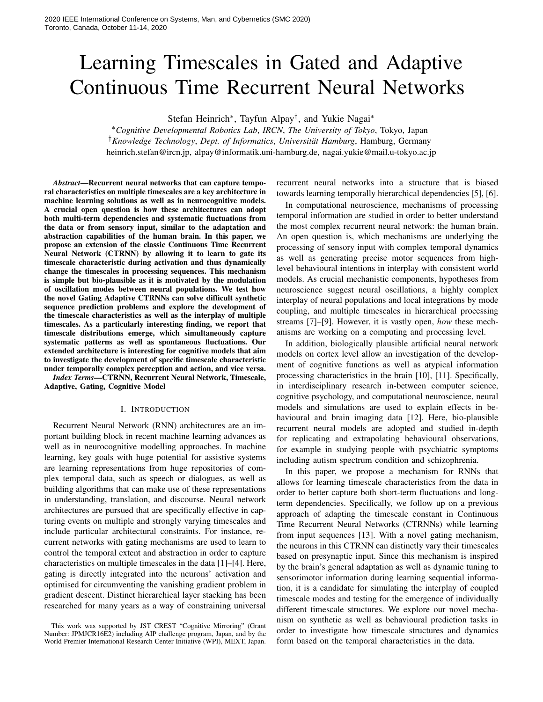# Learning Timescales in Gated and Adaptive Continuous Time Recurrent Neural Networks

Stefan Heinrich<sup>∗</sup> , Tayfun Alpay† , and Yukie Nagai<sup>∗</sup>

<sup>∗</sup>*Cognitive Developmental Robotics Lab*, *IRCN*, *The University of Tokyo*, Tokyo, Japan <sup>†</sup> Knowledge Technology, Dept. of Informatics, Universität Hamburg, Hamburg, Germany heinrich.stefan@ircn.jp, alpay@informatik.uni-hamburg.de, nagai.yukie@mail.u-tokyo.ac.jp

*Abstract*—Recurrent neural networks that can capture temporal characteristics on multiple timescales are a key architecture in machine learning solutions as well as in neurocognitive models. A crucial open question is how these architectures can adopt both multi-term dependencies and systematic fluctuations from the data or from sensory input, similar to the adaptation and abstraction capabilities of the human brain. In this paper, we propose an extension of the classic Continuous Time Recurrent Neural Network (CTRNN) by allowing it to learn to gate its timescale characteristic during activation and thus dynamically change the timescales in processing sequences. This mechanism is simple but bio-plausible as it is motivated by the modulation of oscillation modes between neural populations. We test how the novel Gating Adaptive CTRNNs can solve difficult synthetic sequence prediction problems and explore the development of the timescale characteristics as well as the interplay of multiple timescales. As a particularly interesting finding, we report that timescale distributions emerge, which simultaneously capture systematic patterns as well as spontaneous fluctuations. Our extended architecture is interesting for cognitive models that aim to investigate the development of specific timescale characteristic under temporally complex perception and action, and vice versa.

*Index Terms*—CTRNN, Recurrent Neural Network, Timescale, Adaptive, Gating, Cognitive Model

## I. INTRODUCTION

Recurrent Neural Network (RNN) architectures are an important building block in recent machine learning advances as well as in neurocognitive modelling approaches. In machine learning, key goals with huge potential for assistive systems are learning representations from huge repositories of complex temporal data, such as speech or dialogues, as well as building algorithms that can make use of these representations in understanding, translation, and discourse. Neural network architectures are pursued that are specifically effective in capturing events on multiple and strongly varying timescales and include particular architectural constraints. For instance, recurrent networks with gating mechanisms are used to learn to control the temporal extent and abstraction in order to capture characteristics on multiple timescales in the data [1]–[4]. Here, gating is directly integrated into the neurons' activation and optimised for circumventing the vanishing gradient problem in gradient descent. Distinct hierarchical layer stacking has been researched for many years as a way of constraining universal

recurrent neural networks into a structure that is biased towards learning temporally hierarchical dependencies [5], [6].

In computational neuroscience, mechanisms of processing temporal information are studied in order to better understand the most complex recurrent neural network: the human brain. An open question is, which mechanisms are underlying the processing of sensory input with complex temporal dynamics as well as generating precise motor sequences from highlevel behavioural intentions in interplay with consistent world models. As crucial mechanistic components, hypotheses from neuroscience suggest neural oscillations, a highly complex interplay of neural populations and local integrations by mode coupling, and multiple timescales in hierarchical processing streams [7]–[9]. However, it is vastly open, *how* these mechanisms are working on a computing and processing level.

In addition, biologically plausible artificial neural network models on cortex level allow an investigation of the development of cognitive functions as well as atypical information processing characteristics in the brain [10], [11]. Specifically, in interdisciplinary research in-between computer science, cognitive psychology, and computational neuroscience, neural models and simulations are used to explain effects in behavioural and brain imaging data [12]. Here, bio-plausible recurrent neural models are adopted and studied in-depth for replicating and extrapolating behavioural observations, for example in studying people with psychiatric symptoms including autism spectrum condition and schizophrenia.

In this paper, we propose a mechanism for RNNs that allows for learning timescale characteristics from the data in order to better capture both short-term fluctuations and longterm dependencies. Specifically, we follow up on a previous approach of adapting the timescale constant in Continuous Time Recurrent Neural Networks (CTRNNs) while learning from input sequences [13]. With a novel gating mechanism, the neurons in this CTRNN can distinctly vary their timescales based on presynaptic input. Since this mechanism is inspired by the brain's general adaptation as well as dynamic tuning to sensorimotor information during learning sequential information, it is a candidate for simulating the interplay of coupled timescale modes and testing for the emergence of individually different timescale structures. We explore our novel mechanism on synthetic as well as behavioural prediction tasks in order to investigate how timescale structures and dynamics form based on the temporal characteristics in the data.

This work was supported by JST CREST "Cognitive Mirroring" (Grant Number: JPMJCR16E2) including AIP challenge program, Japan, and by the World Premier International Research Center Initiative (WPI), MEXT, Japan.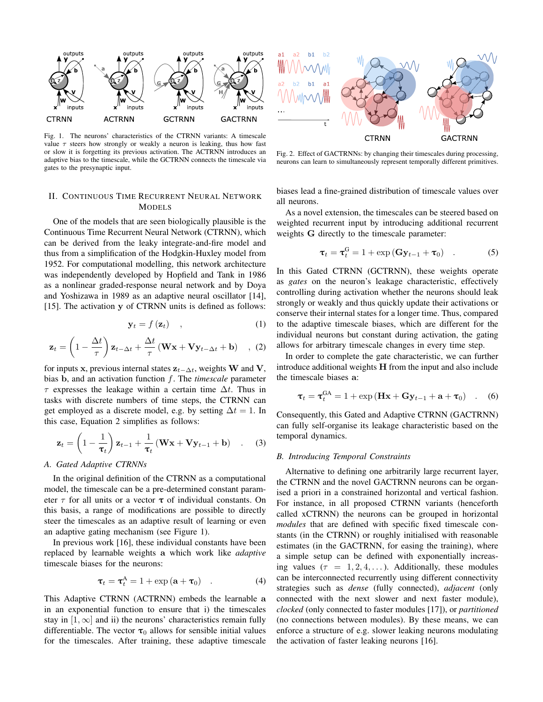

Fig. 1. The neurons' characteristics of the CTRNN variants: A timescale value  $\tau$  steers how strongly or weakly a neuron is leaking, thus how fast or slow it is forgetting its previous activation. The ACTRNN introduces an adaptive bias to the timescale, while the GCTRNN connects the timescale via gates to the presynaptic input.

# II. CONTINUOUS TIME RECURRENT NEURAL NETWORK **MODELS**

One of the models that are seen biologically plausible is the Continuous Time Recurrent Neural Network (CTRNN), which can be derived from the leaky integrate-and-fire model and thus from a simplification of the Hodgkin-Huxley model from 1952. For computational modelling, this network architecture was independently developed by Hopfield and Tank in 1986 as a nonlinear graded-response neural network and by Doya and Yoshizawa in 1989 as an adaptive neural oscillator [14], [15]. The activation y of CTRNN units is defined as follows:

$$
\mathbf{y}_t = f\left(\mathbf{z}_t\right) \quad , \tag{1}
$$

$$
\mathbf{z}_{t} = \left(1 - \frac{\Delta t}{\tau}\right) \mathbf{z}_{t-\Delta t} + \frac{\Delta t}{\tau} \left(\mathbf{W} \mathbf{x} + \mathbf{V} \mathbf{y}_{t-\Delta t} + \mathbf{b}\right) , (2)
$$

for inputs x, previous internal states  $z_{t-\Delta t}$ , weights W and V, bias b, and an activation function f. The *timescale* parameter  $\tau$  expresses the leakage within a certain time  $\Delta t$ . Thus in tasks with discrete numbers of time steps, the CTRNN can get employed as a discrete model, e.g. by setting  $\Delta t = 1$ . In this case, Equation 2 simplifies as follows:

$$
\mathbf{z}_{t} = \left(1 - \frac{1}{\boldsymbol{\tau}_{t}}\right) \mathbf{z}_{t-1} + \frac{1}{\boldsymbol{\tau}_{t}} \left(\mathbf{W}\mathbf{x} + \mathbf{V}\mathbf{y}_{t-1} + \mathbf{b}\right) \quad . \quad (3)
$$

#### *A. Gated Adaptive CTRNNs*

In the original definition of the CTRNN as a computational model, the timescale can be a pre-determined constant parameter  $\tau$  for all units or a vector  $\tau$  of individual constants. On this basis, a range of modifications are possible to directly steer the timescales as an adaptive result of learning or even an adaptive gating mechanism (see Figure 1).

In previous work [16], these individual constants have been replaced by learnable weights a which work like *adaptive* timescale biases for the neurons:

$$
\boldsymbol{\tau}_t = \boldsymbol{\tau}_t^{\mathbf{A}} = 1 + \exp\left(\mathbf{a} + \boldsymbol{\tau}_0\right) \quad . \tag{4}
$$

This Adaptive CTRNN (ACTRNN) embeds the learnable a in an exponential function to ensure that i) the timescales stay in  $[1, \infty]$  and ii) the neurons' characteristics remain fully differentiable. The vector  $\tau_0$  allows for sensible initial values for the timescales. After training, these adaptive timescale



Fig. 2. Effect of GACTRNNs: by changing their timescales during processing, neurons can learn to simultaneously represent temporally different primitives.

biases lead a fine-grained distribution of timescale values over all neurons.

As a novel extension, the timescales can be steered based on weighted recurrent input by introducing additional recurrent weights G directly to the timescale parameter:

$$
\boldsymbol{\tau}_t = \boldsymbol{\tau}_t^{\mathrm{G}} = 1 + \exp\left(\mathbf{G} \mathbf{y}_{t-1} + \boldsymbol{\tau}_0\right) \quad . \tag{5}
$$

In this Gated CTRNN (GCTRNN), these weights operate as *gates* on the neuron's leakage characteristic, effectively controlling during activation whether the neurons should leak strongly or weakly and thus quickly update their activations or conserve their internal states for a longer time. Thus, compared to the adaptive timescale biases, which are different for the individual neurons but constant during activation, the gating allows for arbitrary timescale changes in every time step.

In order to complete the gate characteristic, we can further introduce additional weights H from the input and also include the timescale biases a:

$$
\boldsymbol{\tau}_t = \boldsymbol{\tau}_t^{\text{GA}} = 1 + \exp\left(\mathbf{H}\mathbf{x} + \mathbf{G}\mathbf{y}_{t-1} + \mathbf{a} + \boldsymbol{\tau}_0\right) \quad . \quad (6)
$$

Consequently, this Gated and Adaptive CTRNN (GACTRNN) can fully self-organise its leakage characteristic based on the temporal dynamics.

## *B. Introducing Temporal Constraints*

Alternative to defining one arbitrarily large recurrent layer, the CTRNN and the novel GACTRNN neurons can be organised a priori in a constrained horizontal and vertical fashion. For instance, in all proposed CTRNN variants (henceforth called xCTRNN) the neurons can be grouped in horizontal *modules* that are defined with specific fixed timescale constants (in the CTRNN) or roughly initialised with reasonable estimates (in the GACTRNN, for easing the training), where a simple setup can be defined with exponentially increasing values ( $\tau = 1, 2, 4, \ldots$ ). Additionally, these modules can be interconnected recurrently using different connectivity strategies such as *dense* (fully connected), *adjacent* (only connected with the next slower and next faster module), *clocked* (only connected to faster modules [17]), or *partitioned* (no connections between modules). By these means, we can enforce a structure of e.g. slower leaking neurons modulating the activation of faster leaking neurons [16].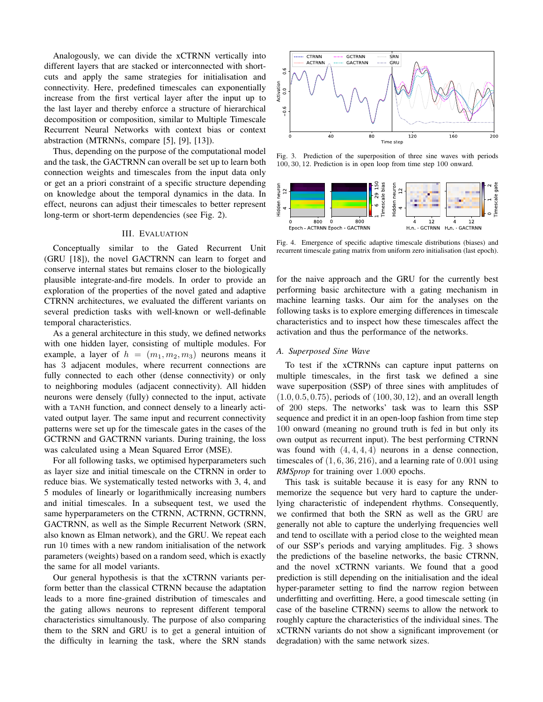Analogously, we can divide the xCTRNN vertically into different layers that are stacked or interconnected with shortcuts and apply the same strategies for initialisation and connectivity. Here, predefined timescales can exponentially increase from the first vertical layer after the input up to the last layer and thereby enforce a structure of hierarchical decomposition or composition, similar to Multiple Timescale Recurrent Neural Networks with context bias or context abstraction (MTRNNs, compare [5], [9], [13]).

Thus, depending on the purpose of the computational model and the task, the GACTRNN can overall be set up to learn both connection weights and timescales from the input data only or get an a priori constraint of a specific structure depending on knowledge about the temporal dynamics in the data. In effect, neurons can adjust their timescales to better represent long-term or short-term dependencies (see Fig. 2).

## III. EVALUATION

Conceptually similar to the Gated Recurrent Unit (GRU [18]), the novel GACTRNN can learn to forget and conserve internal states but remains closer to the biologically plausible integrate-and-fire models. In order to provide an exploration of the properties of the novel gated and adaptive CTRNN architectures, we evaluated the different variants on several prediction tasks with well-known or well-definable temporal characteristics.

As a general architecture in this study, we defined networks with one hidden layer, consisting of multiple modules. For example, a layer of  $h = (m_1, m_2, m_3)$  neurons means it has 3 adjacent modules, where recurrent connections are fully connected to each other (dense connectivity) or only to neighboring modules (adjacent connectivity). All hidden neurons were densely (fully) connected to the input, activate with a TANH function, and connect densely to a linearly activated output layer. The same input and recurrent connectivity patterns were set up for the timescale gates in the cases of the GCTRNN and GACTRNN variants. During training, the loss was calculated using a Mean Squared Error (MSE).

For all following tasks, we optimised hyperparameters such as layer size and initial timescale on the CTRNN in order to reduce bias. We systematically tested networks with 3, 4, and 5 modules of linearly or logarithmically increasing numbers and initial timescales. In a subsequent test, we used the same hyperparameters on the CTRNN, ACTRNN, GCTRNN, GACTRNN, as well as the Simple Recurrent Network (SRN, also known as Elman network), and the GRU. We repeat each run 10 times with a new random initialisation of the network parameters (weights) based on a random seed, which is exactly the same for all model variants.

Our general hypothesis is that the xCTRNN variants perform better than the classical CTRNN because the adaptation leads to a more fine-grained distribution of timescales and the gating allows neurons to represent different temporal characteristics simultanously. The purpose of also comparing them to the SRN and GRU is to get a general intuition of the difficulty in learning the task, where the SRN stands



Fig. 3. Prediction of the superposition of three sine waves with periods 100, 30, 12. Prediction is in open loop from time step 100 onward.



Fig. 4. Emergence of specific adaptive timescale distributions (biases) and recurrent timescale gating matrix from uniform zero initialisation (last epoch).

for the naive approach and the GRU for the currently best performing basic architecture with a gating mechanism in machine learning tasks. Our aim for the analyses on the following tasks is to explore emerging differences in timescale characteristics and to inspect how these timescales affect the activation and thus the performance of the networks.

## *A. Superposed Sine Wave*

To test if the xCTRNNs can capture input patterns on multiple timescales, in the first task we defined a sine wave superposition (SSP) of three sines with amplitudes of  $(1.0, 0.5, 0.75)$ , periods of  $(100, 30, 12)$ , and an overall length of 200 steps. The networks' task was to learn this SSP sequence and predict it in an open-loop fashion from time step 100 onward (meaning no ground truth is fed in but only its own output as recurrent input). The best performing CTRNN was found with  $(4, 4, 4, 4)$  neurons in a dense connection, timescales of  $(1, 6, 36, 216)$ , and a learning rate of  $0.001$  using *RMSprop* for training over 1.000 epochs.

This task is suitable because it is easy for any RNN to memorize the sequence but very hard to capture the underlying characteristic of independent rhythms. Consequently, we confirmed that both the SRN as well as the GRU are generally not able to capture the underlying frequencies well and tend to oscillate with a period close to the weighted mean of our SSP's periods and varying amplitudes. Fig. 3 shows the predictions of the baseline networks, the basic CTRNN, and the novel xCTRNN variants. We found that a good prediction is still depending on the initialisation and the ideal hyper-parameter setting to find the narrow region between underfitting and overfitting. Here, a good timescale setting (in case of the baseline CTRNN) seems to allow the network to roughly capture the characteristics of the individual sines. The xCTRNN variants do not show a significant improvement (or degradation) with the same network sizes.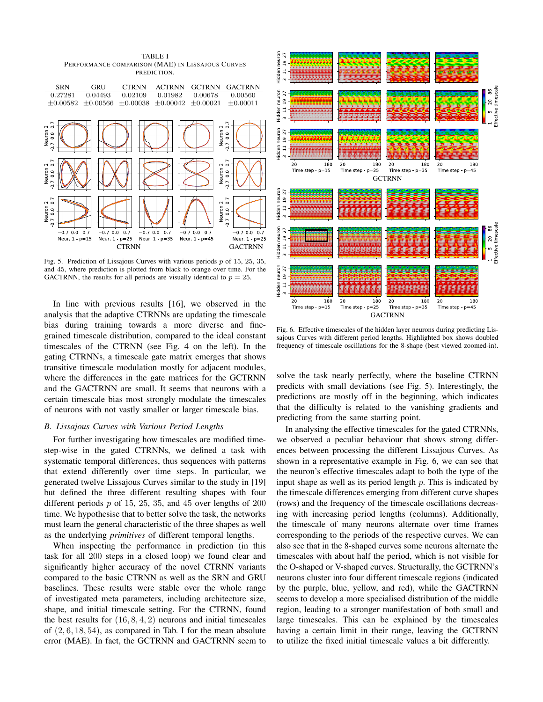TABLE I PERFORMANCE COMPARISON (MAE) IN LISSAJOUS CURVES PREDICTION. SRN GRU CTRNN ACTRNN GCTRNN GACTRNN  $\begin{array}{cccc} 0.27281 & 0.04493 & 0.02109 & 0.01982 & 0.00678 & 0.00560 \\ \pm 0.00582 & \pm 0.00566 & \pm 0.00038 & \pm 0.00042 & \pm 0.00021 & \pm 0.00011 \end{array}$  $\pm 0.00038 \pm 0.00042 \pm 0.00021$ Neuron 2<br>7 0 0 0 7 ā houn  $\overline{0}$ Veuron 2<br>7 0 0 0 7 .<br>o Neuron  $\overline{0}$ Neuron 2<br>7 0 0 0 7  $\overline{0}$  $\sim$ Veuron  $\overline{0}$  $-0.700$  $0.7$  $-0.700$  $0.7$  $-0.700$  $0.7$  $-0.700$  $0.7$  $070007$ Neur  $1$   $p=25$ Neur  $1 p=35$ Neur  $1$   $p=15$ Neur  $1-p=45$ Neur  $1 - p = 25$ CTRNN GACTRNN

Fig. 5. Prediction of Lissajous Curves with various periods  $p$  of 15, 25, 35, and 45, where prediction is plotted from black to orange over time. For the GACTRNN, the results for all periods are visually identical to  $p = 25$ .

In line with previous results [16], we observed in the analysis that the adaptive CTRNNs are updating the timescale bias during training towards a more diverse and finegrained timescale distribution, compared to the ideal constant timescales of the CTRNN (see Fig. 4 on the left). In the gating CTRNNs, a timescale gate matrix emerges that shows transitive timescale modulation mostly for adjacent modules, where the differences in the gate matrices for the GCTRNN and the GACTRNN are small. It seems that neurons with a certain timescale bias most strongly modulate the timescales of neurons with not vastly smaller or larger timescale bias.

## *B. Lissajous Curves with Various Period Lengths*

For further investigating how timescales are modified timestep-wise in the gated CTRNNs, we defined a task with systematic temporal differences, thus sequences with patterns that extend differently over time steps. In particular, we generated twelve Lissajous Curves similar to the study in [19] but defined the three different resulting shapes with four different periods  $p$  of 15, 25, 35, and 45 over lengths of 200 time. We hypothesise that to better solve the task, the networks must learn the general characteristic of the three shapes as well as the underlying *primitives* of different temporal lengths.

When inspecting the performance in prediction (in this task for all 200 steps in a closed loop) we found clear and significantly higher accuracy of the novel CTRNN variants compared to the basic CTRNN as well as the SRN and GRU baselines. These results were stable over the whole range of investigated meta parameters, including architecture size, shape, and initial timescale setting. For the CTRNN, found the best results for  $(16, 8, 4, 2)$  neurons and initial timescales of  $(2, 6, 18, 54)$ , as compared in Tab. I for the mean absolute error (MAE). In fact, the GCTRNN and GACTRNN seem to



Fig. 6. Effective timescales of the hidden layer neurons during predicting Lissajous Curves with different period lengths. Highlighted box shows doubled frequency of timescale oscillations for the 8-shape (best viewed zoomed-in).

solve the task nearly perfectly, where the baseline CTRNN predicts with small deviations (see Fig. 5). Interestingly, the predictions are mostly off in the beginning, which indicates that the difficulty is related to the vanishing gradients and predicting from the same starting point.

In analysing the effective timescales for the gated CTRNNs, we observed a peculiar behaviour that shows strong differences between processing the different Lissajous Curves. As shown in a representative example in Fig. 6, we can see that the neuron's effective timescales adapt to both the type of the input shape as well as its period length  $p$ . This is indicated by the timescale differences emerging from different curve shapes (rows) and the frequency of the timescale oscillations decreasing with increasing period lengths (columns). Additionally, the timescale of many neurons alternate over time frames corresponding to the periods of the respective curves. We can also see that in the 8-shaped curves some neurons alternate the timescales with about half the period, which is not visible for the O-shaped or V-shaped curves. Structurally, the GCTRNN's neurons cluster into four different timescale regions (indicated by the purple, blue, yellow, and red), while the GACTRNN seems to develop a more specialised distribution of the middle region, leading to a stronger manifestation of both small and large timescales. This can be explained by the timescales having a certain limit in their range, leaving the GCTRNN to utilize the fixed initial timescale values a bit differently.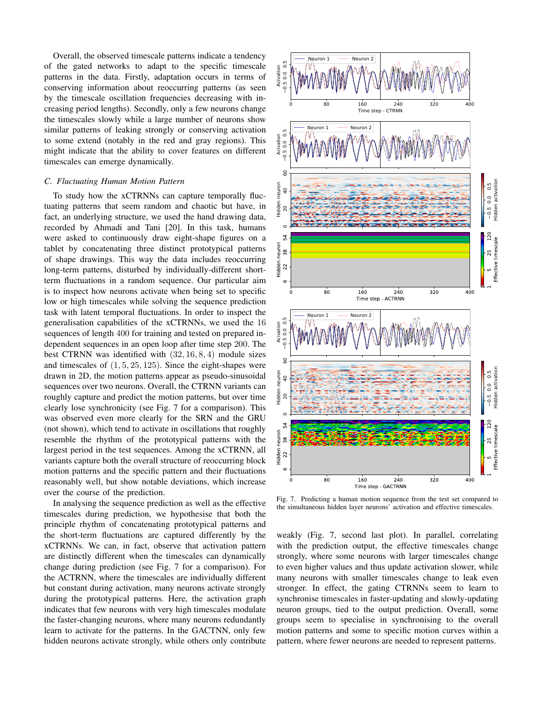Overall, the observed timescale patterns indicate a tendency of the gated networks to adapt to the specific timescale patterns in the data. Firstly, adaptation occurs in terms of conserving information about reoccurring patterns (as seen by the timescale oscillation frequencies decreasing with increasing period lengths). Secondly, only a few neurons change the timescales slowly while a large number of neurons show similar patterns of leaking strongly or conserving activation to some extend (notably in the red and gray regions). This might indicate that the ability to cover features on different timescales can emerge dynamically.

## *C. Fluctuating Human Motion Pattern*

To study how the xCTRNNs can capture temporally fluctuating patterns that seem random and chaotic but have, in fact, an underlying structure, we used the hand drawing data, recorded by Ahmadi and Tani [20]. In this task, humans were asked to continuously draw eight-shape figures on a tablet by concatenating three distinct prototypical patterns of shape drawings. This way the data includes reoccurring long-term patterns, disturbed by individually-different shortterm fluctuations in a random sequence. Our particular aim is to inspect how neurons activate when being set to specific low or high timescales while solving the sequence prediction task with latent temporal fluctuations. In order to inspect the generalisation capabilities of the xCTRNNs, we used the 16 sequences of length 400 for training and tested on prepared independent sequences in an open loop after time step 200. The best CTRNN was identified with (32, 16, 8, 4) module sizes and timescales of  $(1, 5, 25, 125)$ . Since the eight-shapes were drawn in 2D, the motion patterns appear as pseudo-sinusoidal sequences over two neurons. Overall, the CTRNN variants can roughly capture and predict the motion patterns, but over time clearly lose synchronicity (see Fig. 7 for a comparison). This was observed even more clearly for the SRN and the GRU (not shown), which tend to activate in oscillations that roughly resemble the rhythm of the prototypical patterns with the largest period in the test sequences. Among the xCTRNN, all variants capture both the overall structure of reoccurring block motion patterns and the specific pattern and their fluctuations reasonably well, but show notable deviations, which increase over the course of the prediction.

In analysing the sequence prediction as well as the effective timescales during prediction, we hypothesise that both the principle rhythm of concatenating prototypical patterns and the short-term fluctuations are captured differently by the xCTRNNs. We can, in fact, observe that activation pattern are distinctly different when the timescales can dynamically change during prediction (see Fig. 7 for a comparison). For the ACTRNN, where the timescales are individually different but constant during activation, many neurons activate strongly during the prototypical patterns. Here, the activation graph indicates that few neurons with very high timescales modulate the faster-changing neurons, where many neurons redundantly learn to activate for the patterns. In the GACTNN, only few hidden neurons activate strongly, while others only contribute



Fig. 7. Predicting a human motion sequence from the test set compared to the simultaneous hidden layer neurons' activation and effective timescales.

weakly (Fig. 7, second last plot). In parallel, correlating with the prediction output, the effective timescales change strongly, where some neurons with larger timescales change to even higher values and thus update activation slower, while many neurons with smaller timescales change to leak even stronger. In effect, the gating CTRNNs seem to learn to synchronise timescales in faster-updating and slowly-updating neuron groups, tied to the output prediction. Overall, some groups seem to specialise in synchronising to the overall motion patterns and some to specific motion curves within a pattern, where fewer neurons are needed to represent patterns.